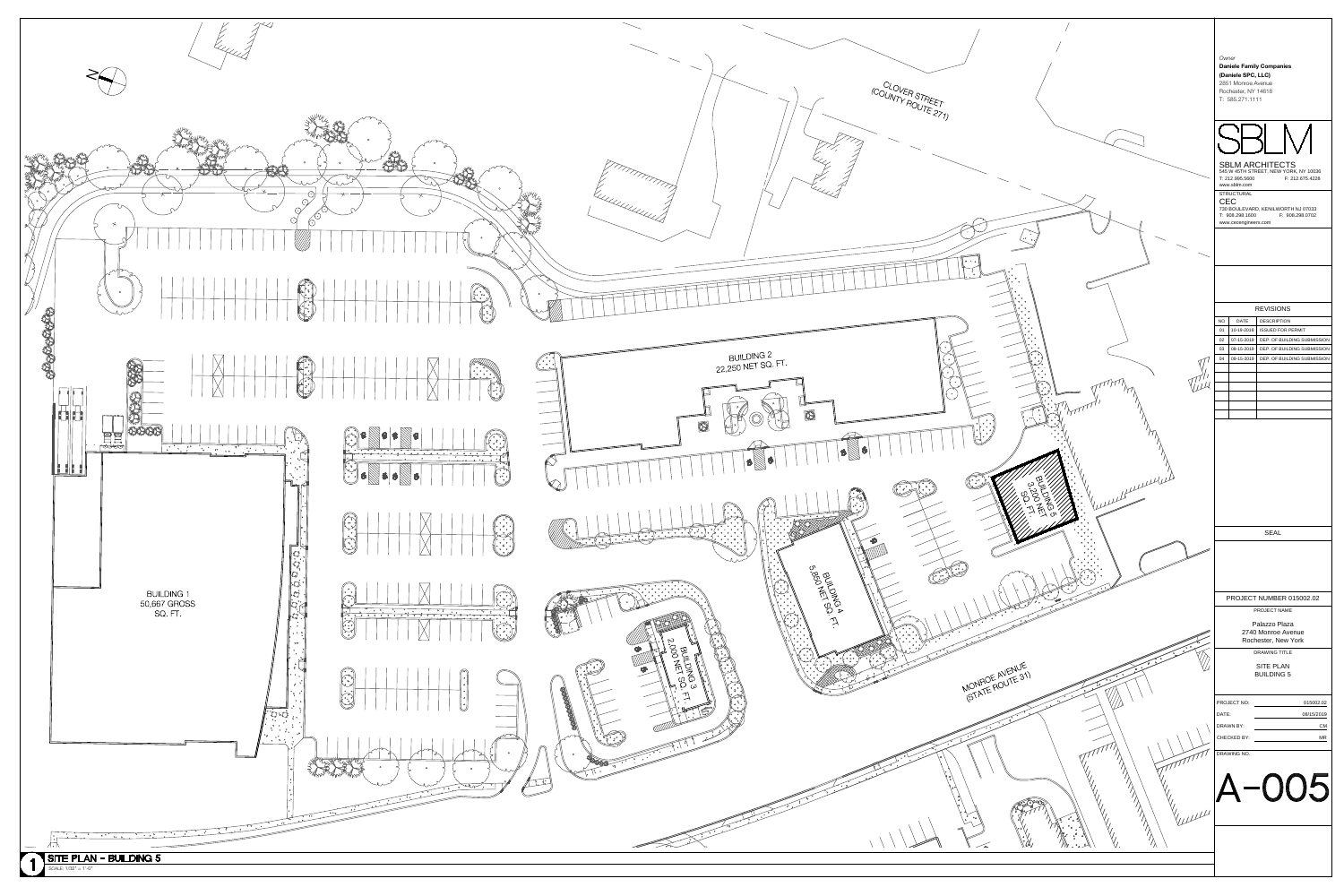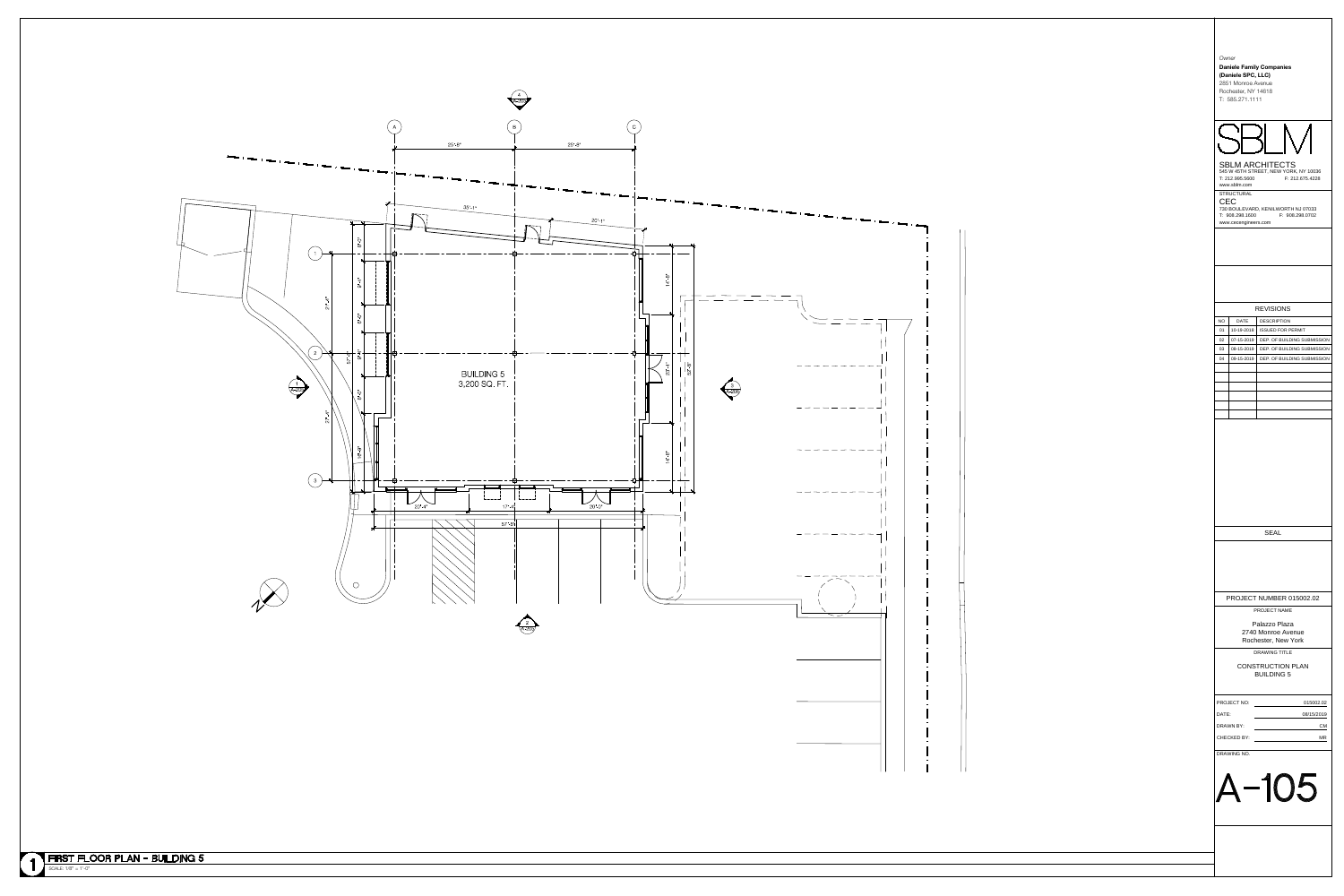

|           | Owner<br><b>Daniele Family Companies</b><br>(Daniele SPC, LLC)<br>2851 Monroe Avenue<br>Rochester, NY 14618<br>T: 585.271.1111 |                                                                                    |  |  |  |
|-----------|--------------------------------------------------------------------------------------------------------------------------------|------------------------------------------------------------------------------------|--|--|--|
|           | T: 212.995.5600<br>www.sblm.com                                                                                                | <b>SBLM ARCHITECTS</b><br>545 W 45TH STREET, NEW YORK, NY 10036<br>F: 212.675.4228 |  |  |  |
| CEC       | <b>STRUCTURAL</b><br>T: 908.298.1600<br>www.cecengineers.com                                                                   | 730 BOULEVARD, KENILWORTH NJ 07033<br>F: 908.298.0702                              |  |  |  |
|           |                                                                                                                                | <b>REVISIONS</b>                                                                   |  |  |  |
| <b>NO</b> | <b>DATE</b>                                                                                                                    | <b>DESCRIPTION</b>                                                                 |  |  |  |
| 01        | 10-19-2018                                                                                                                     | <b>ISSUED FOR PERMIT</b>                                                           |  |  |  |
| 02        | 07-15-2019                                                                                                                     | DEP. OF BUILDING SUBMISSION                                                        |  |  |  |
| 03        | 08-15-2019                                                                                                                     | DEP. OF BUILDING SUBMISSION                                                        |  |  |  |
| 04        | 09-15-2019                                                                                                                     | DEP. OF BUILDING SUBMISSION                                                        |  |  |  |
|           |                                                                                                                                |                                                                                    |  |  |  |
|           |                                                                                                                                |                                                                                    |  |  |  |
|           |                                                                                                                                |                                                                                    |  |  |  |
|           |                                                                                                                                |                                                                                    |  |  |  |
|           |                                                                                                                                |                                                                                    |  |  |  |
|           |                                                                                                                                |                                                                                    |  |  |  |
|           |                                                                                                                                |                                                                                    |  |  |  |
|           |                                                                                                                                |                                                                                    |  |  |  |
|           |                                                                                                                                |                                                                                    |  |  |  |
|           |                                                                                                                                |                                                                                    |  |  |  |
|           |                                                                                                                                |                                                                                    |  |  |  |
|           |                                                                                                                                |                                                                                    |  |  |  |
|           |                                                                                                                                |                                                                                    |  |  |  |
|           |                                                                                                                                |                                                                                    |  |  |  |
|           |                                                                                                                                |                                                                                    |  |  |  |
|           |                                                                                                                                |                                                                                    |  |  |  |
|           |                                                                                                                                | <b>SEAL</b>                                                                        |  |  |  |
|           |                                                                                                                                |                                                                                    |  |  |  |
|           |                                                                                                                                |                                                                                    |  |  |  |
|           |                                                                                                                                |                                                                                    |  |  |  |
|           |                                                                                                                                |                                                                                    |  |  |  |
|           |                                                                                                                                |                                                                                    |  |  |  |
|           |                                                                                                                                | PROJECT NUMBER 015002.02                                                           |  |  |  |
|           |                                                                                                                                | PROJECT NAME                                                                       |  |  |  |
|           |                                                                                                                                | Palazzo Plaza                                                                      |  |  |  |
|           |                                                                                                                                | 2740 Monroe Avenue                                                                 |  |  |  |
|           |                                                                                                                                | Rochester, New York                                                                |  |  |  |
|           |                                                                                                                                | <b>DRAWING TITLE</b>                                                               |  |  |  |
|           |                                                                                                                                | <b>CONSTRUCTION PLAN</b>                                                           |  |  |  |
|           |                                                                                                                                | <b>BUILDING 5</b>                                                                  |  |  |  |
|           |                                                                                                                                |                                                                                    |  |  |  |
|           | PROJECT NO:                                                                                                                    | 015002.02                                                                          |  |  |  |
| DATE:     |                                                                                                                                | 08/15/2019                                                                         |  |  |  |
|           | DRAWN BY:                                                                                                                      | CМ                                                                                 |  |  |  |
|           | CHECKED BY:                                                                                                                    | ΜR                                                                                 |  |  |  |
|           |                                                                                                                                |                                                                                    |  |  |  |
|           | DRAWING NO.                                                                                                                    |                                                                                    |  |  |  |
|           |                                                                                                                                |                                                                                    |  |  |  |
|           |                                                                                                                                |                                                                                    |  |  |  |
|           |                                                                                                                                | $-105$                                                                             |  |  |  |
|           |                                                                                                                                |                                                                                    |  |  |  |
|           |                                                                                                                                |                                                                                    |  |  |  |
|           |                                                                                                                                |                                                                                    |  |  |  |
|           |                                                                                                                                |                                                                                    |  |  |  |
|           |                                                                                                                                |                                                                                    |  |  |  |
|           |                                                                                                                                |                                                                                    |  |  |  |